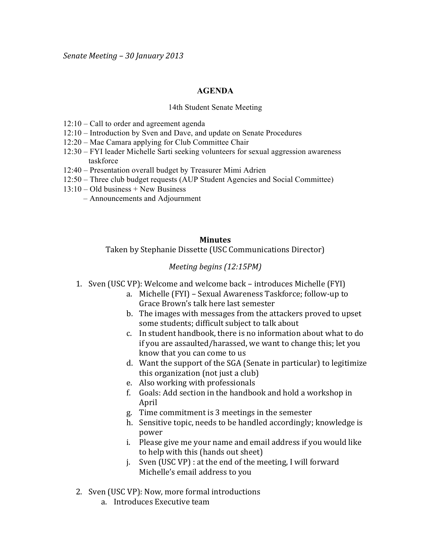## **AGENDA**

## 14th Student Senate Meeting

- 12:10 Call to order and agreement agenda
- 12:10 Introduction by Sven and Dave, and update on Senate Procedures
- 12:20 Mae Camara applying for Club Committee Chair
- 12:30 FYI leader Michelle Sarti seeking volunteers for sexual aggression awareness taskforce
- 12:40 Presentation overall budget by Treasurer Mimi Adrien
- 12:50 Three club budget requests (AUP Student Agencies and Social Committee)
- 13:10 Old business + New Business
	- Announcements and Adjournment

## **Minutes**

Taken by Stephanie Dissette (USC Communications Director)

## *Meeting begins (12:15PM)*

- 1. Sven (USC VP): Welcome and welcome back introduces Michelle (FYI)
	- a. Michelle (FYI) Sexual Awareness Taskforce; follow-up to Grace Brown's talk here last semester
	- b. The images with messages from the attackers proved to upset some students; difficult subject to talk about
	- c. In student handbook, there is no information about what to do if you are assaulted/harassed, we want to change this; let you know that you can come to us
	- d. Want the support of the SGA (Senate in particular) to legitimize this organization (not just a club)
	- e. Also working with professionals
	- f. Goals: Add section in the handbook and hold a workshop in April
	- g. Time commitment is 3 meetings in the semester
	- h. Sensitive topic, needs to be handled accordingly; knowledge is power
	- i. Please give me your name and email address if you would like to help with this (hands out sheet)
	- j. Sven (USC VP) : at the end of the meeting, I will forward Michelle's email address to you
- 2. Sven (USC VP): Now, more formal introductions
	- a. Introduces Executive team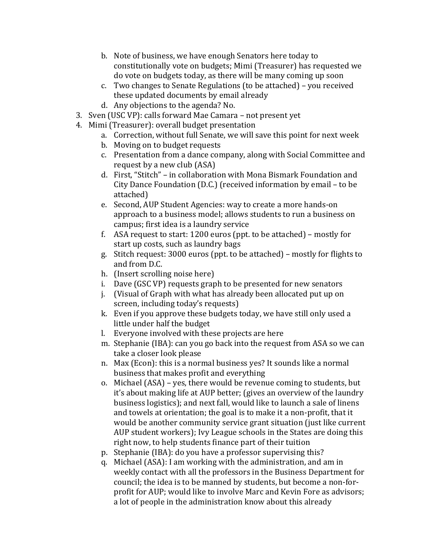- b. Note of business, we have enough Senators here today to constitutionally vote on budgets; Mimi (Treasurer) has requested we do vote on budgets today, as there will be many coming up soon
- c. Two changes to Senate Regulations (to be attached) you received these updated documents by email already
- d. Any objections to the agenda? No.
- 3. Sven (USC VP): calls forward Mae Camara not present yet
- 4. Mimi (Treasurer): overall budget presentation
	- a. Correction, without full Senate, we will save this point for next week
	- b. Moving on to budget requests
	- c. Presentation from a dance company, along with Social Committee and request by a new club (ASA)
	- d. First, "Stitch" in collaboration with Mona Bismark Foundation and City Dance Foundation (D.C.) (received information by email – to be attached)
	- e. Second, AUP Student Agencies: way to create a more hands-on approach to a business model; allows students to run a business on campus; first idea is a laundry service
	- f. ASA request to start: 1200 euros (ppt. to be attached) mostly for start up costs, such as laundry bags
	- g. Stitch request: 3000 euros (ppt. to be attached) mostly for flights to and from D.C.
	- h. (Insert scrolling noise here)
	- i. Dave (GSC VP) requests graph to be presented for new senators
	- j. (Visual of Graph with what has already been allocated put up on screen, including today's requests)
	- k. Even if you approve these budgets today, we have still only used a little under half the budget
	- l. Everyone involved with these projects are here
	- m. Stephanie (IBA): can you go back into the request from ASA so we can take a closer look please
	- n. Max (Econ): this is a normal business yes? It sounds like a normal business that makes profit and everything
	- o. Michael  $(ASA)$  yes, there would be revenue coming to students, but it's about making life at AUP better; (gives an overview of the laundry business logistics); and next fall, would like to launch a sale of linens and towels at orientation; the goal is to make it a non-profit, that it would be another community service grant situation (just like current AUP student workers); Ivy League schools in the States are doing this right now, to help students finance part of their tuition
	- p. Stephanie (IBA): do you have a professor supervising this?
	- q. Michael (ASA): I am working with the administration, and am in weekly contact with all the professors in the Business Department for council; the idea is to be manned by students, but become a non-forprofit for AUP; would like to involve Marc and Kevin Fore as advisors; a lot of people in the administration know about this already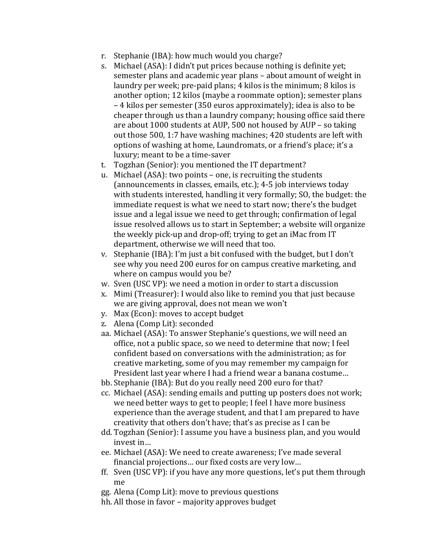- r. Stephanie (IBA): how much would you charge?
- s. Michael (ASA): I didn't put prices because nothing is definite yet; semester plans and academic year plans – about amount of weight in laundry per week; pre-paid plans; 4 kilos is the minimum; 8 kilos is another option; 12 kilos (maybe a roommate option); semester plans  $-4$  kilos per semester (350 euros approximately); idea is also to be cheaper through us than a laundry company; housing office said there are about 1000 students at AUP, 500 not housed by AUP – so taking out those 500, 1:7 have washing machines; 420 students are left with options of washing at home, Laundromats, or a friend's place; it's a luxury; meant to be a time-saver
- t. Togzhan (Senior): you mentioned the IT department?
- u. Michael (ASA): two points one, is recruiting the students (announcements in classes, emails, etc.); 4-5 job interviews today with students interested, handling it very formally; SO, the budget: the immediate request is what we need to start now; there's the budget issue and a legal issue we need to get through; confirmation of legal issue resolved allows us to start in September; a website will organize the weekly pick-up and drop-off; trying to get an iMac from IT department, otherwise we will need that too.
- v. Stephanie (IBA): I'm just a bit confused with the budget, but I don't see why you need 200 euros for on campus creative marketing, and where on campus would you be?
- w. Sven (USC VP): we need a motion in order to start a discussion
- x. Mimi (Treasurer): I would also like to remind you that just because we are giving approval, does not mean we won't
- y. Max (Econ): moves to accept budget
- z. Alena (Comp Lit): seconded
- aa. Michael (ASA): To answer Stephanie's questions, we will need an office, not a public space, so we need to determine that now; I feel confident based on conversations with the administration; as for creative marketing, some of you may remember my campaign for President last year where I had a friend wear a banana costume...
- bb. Stephanie (IBA): But do you really need 200 euro for that?
- cc. Michael (ASA): sending emails and putting up posters does not work; we need better ways to get to people; I feel I have more business experience than the average student, and that I am prepared to have creativity that others don't have; that's as precise as I can be
- dd. Togzhan (Senior): I assume you have a business plan, and you would invest in…
- ee. Michael (ASA): We need to create awareness; I've made several financial projections... our fixed costs are very low...
- ff. Sven (USC VP): if you have any more questions, let's put them through me
- gg. Alena (Comp Lit): move to previous questions
- hh. All those in favor majority approves budget